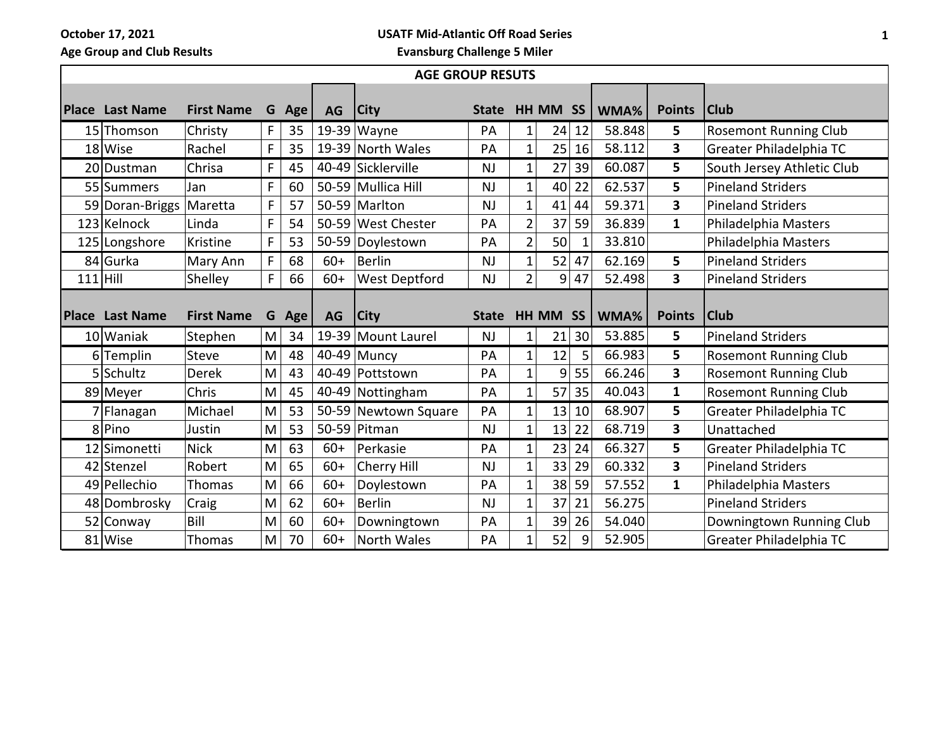**October 17, 2021**

**USATF Mid-Atlantic Off Road Series**

**Age Group and Club Results**

**Evansburg Challenge 5 Miler**

| <b>AGE GROUP RESUTS</b> |                        |                   |   |     |           |                      |              |                |          |              |        |                         |                              |
|-------------------------|------------------------|-------------------|---|-----|-----------|----------------------|--------------|----------------|----------|--------------|--------|-------------------------|------------------------------|
|                         | <b>Place Last Name</b> | <b>First Name</b> | G | Age | <b>AG</b> | <b>City</b>          | <b>State</b> |                | HH MM SS |              | WMA%   | <b>Points</b>           | <b>Club</b>                  |
|                         | 15 Thomson             | Christy           | F | 35  |           | $19-39$ Wayne        | PA           | 1              | 24       | 12           | 58.848 | 5                       | <b>Rosemont Running Club</b> |
|                         | 18 Wise                | Rachel            | F | 35  |           | 19-39 North Wales    | PA           | $\mathbf{1}$   | 25       | 16           | 58.112 | $\overline{\mathbf{3}}$ | Greater Philadelphia TC      |
|                         | 20 Dustman             | Chrisa            | F | 45  |           | 40-49 Sicklerville   | <b>NJ</b>    | $\mathbf 1$    | 27       | 39           | 60.087 | 5 <sub>1</sub>          | South Jersey Athletic Club   |
|                         | 55 Summers             | Jan               | F | 60  |           | 50-59 Mullica Hill   | <b>NJ</b>    | 1              | 40       | 22           | 62.537 | 5                       | <b>Pineland Striders</b>     |
|                         | 59 Doran-Briggs        | Maretta           | F | 57  |           | 50-59 Marlton        | <b>NJ</b>    | $\mathbf{1}$   | 41       | 44           | 59.371 | 3                       | <b>Pineland Striders</b>     |
|                         | 123 Kelnock            | Linda             | F | 54  |           | 50-59 West Chester   | PA           | $\overline{2}$ | 37       | 59           | 36.839 | $\mathbf{1}$            | Philadelphia Masters         |
|                         | 125 Longshore          | Kristine          | F | 53  |           | 50-59 Doylestown     | PA           | $\overline{2}$ | 50       | $\mathbf{1}$ | 33.810 |                         | Philadelphia Masters         |
|                         | 84 Gurka               | Mary Ann          | F | 68  | $60+$     | <b>Berlin</b>        | <b>NJ</b>    | 1              | 52       | 47           | 62.169 | 5                       | <b>Pineland Striders</b>     |
|                         | $111$ Hill             | Shelley           | F | 66  | $60+$     | West Deptford        | NJ           | $\overline{2}$ | 9        | 47           | 52.498 | 3                       | <b>Pineland Striders</b>     |
|                         |                        |                   |   |     |           |                      |              |                |          |              |        |                         |                              |
|                         | <b>Place Last Name</b> | <b>First Name</b> | G | Age | AG        | <b>City</b>          | <b>State</b> |                | HH MM SS |              | WMA%   | <b>Points</b>           | <b>Club</b>                  |
|                         | 10 Waniak              | Stephen           | M | 34  |           | 19-39 Mount Laurel   | <b>NJ</b>    | 1              | 21       | 30           | 53.885 | 5 <sub>1</sub>          | <b>Pineland Striders</b>     |
|                         | $6$ Templin            | Steve             | M | 48  |           | 40-49 Muncy          | PA           | $\mathbf 1$    | 12       | 5            | 66.983 | 5                       | <b>Rosemont Running Club</b> |
|                         | 5 Schultz              | <b>Derek</b>      | M | 43  |           | 40-49 Pottstown      | PA           | $\mathbf{1}$   | 9        | 55           | 66.246 | $\mathbf{3}$            | <b>Rosemont Running Club</b> |
|                         | 89 Meyer               | Chris             | M | 45  |           | 40-49 Nottingham     | PA           | $\mathbf{1}$   | 57       | 35           | 40.043 | $\mathbf{1}$            | <b>Rosemont Running Club</b> |
|                         | 7 Flanagan             | Michael           | M | 53  |           | 50-59 Newtown Square | PA           | $\mathbf 1$    | 13       | 10           | 68.907 | 5                       | Greater Philadelphia TC      |
|                         | 8 Pino                 | Justin            | M | 53  |           | 50-59 Pitman         | <b>NJ</b>    | $\mathbf 1$    | 13       | 22           | 68.719 | $\overline{\mathbf{3}}$ | Unattached                   |
|                         | 12 Simonetti           | <b>Nick</b>       | M | 63  | $60+$     | Perkasie             | PA           | 1              | 23       | 24           | 66.327 | 5                       | Greater Philadelphia TC      |
|                         | 42 Stenzel             | Robert            | M | 65  | $60+$     | Cherry Hill          | <b>NJ</b>    | $\mathbf 1$    | 33       | 29           | 60.332 | $\overline{\mathbf{3}}$ | <b>Pineland Striders</b>     |
|                         | 49 Pellechio           | Thomas            | M | 66  | $60+$     | Doylestown           | PA           | $\mathbf{1}$   | 38       | 59           | 57.552 | $\mathbf{1}$            | Philadelphia Masters         |
|                         | 48 Dombrosky           | Craig             | M | 62  | $60+$     | <b>Berlin</b>        | NJ           | $\mathbf 1$    | 37       | 21           | 56.275 |                         | <b>Pineland Striders</b>     |
|                         | 52 Conway              | Bill              | M | 60  | $60+$     | Downingtown          | PA           | $\mathbf 1$    | 39       | 26           | 54.040 |                         | Downingtown Running Club     |